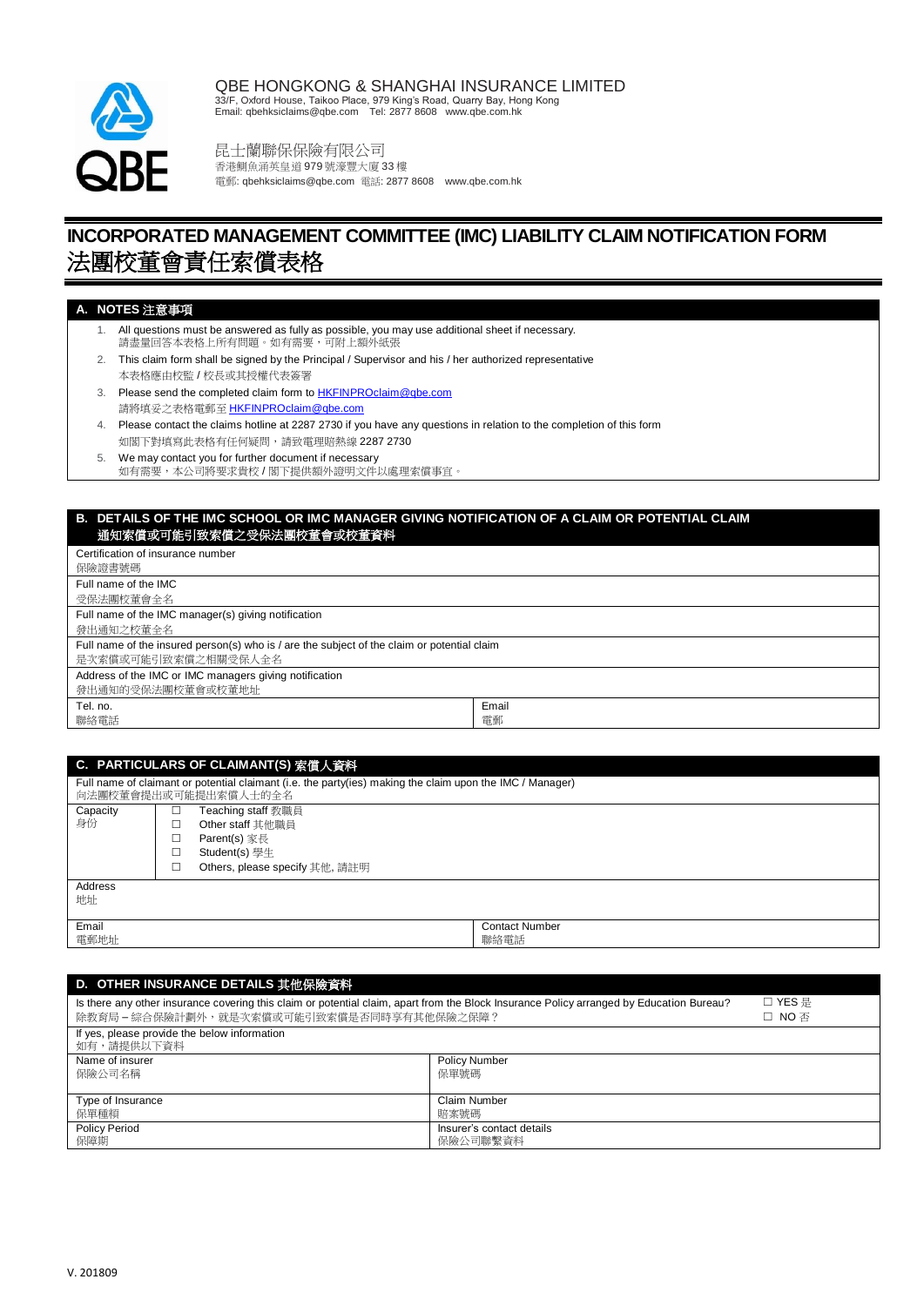

# QBE HONGKONG & SHANGHAI INSURANCE LIMITED

33/F, Oxford House, Taikoo Place, 979 King's Road, Quarry Bay, Hong Kong Email: qbehksiclaims@qbe.com Tel: 2877 8608 www.qbe.com.hk

昆士蘭聯保保險有限公司 香港鰂魚涌英皇道 979 號濠豐大廈 33 樓 電郵: qbehksiclaims@qbe.com 電話: 2877 8608 www.qbe.com.hk

# **INCORPORATED MANAGEMENT COMMITTEE (IMC) LIABILITY CLAIM NOTIFICATION FORM** 法團校董會責任索償表格

## **A. NOTES** 注意事項

- 1. All questions must be answered as fully as possible, you may use additional sheet if necessary. 請盡量回答本表格上所有問題。如有需要,可附上額外紙張
- 2. This claim form shall be signed by the Principal / Supervisor and his / her authorized representative 本表格應由校監 / 校長或其授權代表簽署
- 3. Please send the completed claim form to **HKFINPROclaim@qbe.com** 請將填妥之表格電郵至 HKFINPROclaim@qbe.com
- 4. Please contact the claims hotline at 2287 2730 if you have any questions in relation to the completion of this form 如閣下對填寫此表格有任何疑問,請致電理賠熱線 2287 2730
- 5. We may contact you for further document if necessary
- 如有需要,本公司將要求貴校 / 閣下提供額外證明文件以處理索償事宜。

## **B. DETAILS OF THE IMC SCHOOL OR IMC MANAGER GIVING NOTIFICATION OF A CLAIM OR POTENTIAL CLAIM** 通知索償或可能引致索償之受保法團校董會或校董資料

| / 四/ 小人 真 人 人 而 儿 以 术 真 人 义 / K/ 公 因 (人 主 目 ) 人 主 員 / T                                     |       |  |
|---------------------------------------------------------------------------------------------|-------|--|
| Certification of insurance number                                                           |       |  |
| 保險證書號碼                                                                                      |       |  |
| Full name of the IMC                                                                        |       |  |
| 受保法團校董會全名                                                                                   |       |  |
| Full name of the IMC manager(s) giving notification                                         |       |  |
| 發出通知之校董全名                                                                                   |       |  |
| Full name of the insured person(s) who is / are the subject of the claim or potential claim |       |  |
| 是次索償或可能引致索償之相關受保人全名                                                                         |       |  |
| Address of the IMC or IMC managers giving notification                                      |       |  |
| 發出通知的受保法團校董會或校董地址                                                                           |       |  |
| Tel. no.                                                                                    | Email |  |
| 聯絡電話                                                                                        | 電郵    |  |

| C. PARTICULARS OF CLAIMANT(S) 索償人資料                                                                                               |                  |                                                                                                           |  |  |
|-----------------------------------------------------------------------------------------------------------------------------------|------------------|-----------------------------------------------------------------------------------------------------------|--|--|
| Full name of claimant or potential claimant (i.e. the party(ies) making the claim upon the IMC / Manager)<br>向法團校董會提出或可能提出索償人士的全名 |                  |                                                                                                           |  |  |
| Capacity<br>身份                                                                                                                    | ⊔<br>п<br>□<br>□ | Teaching staff 教職員<br>Other staff 其他職員<br>Parent(s) 家長<br>Student(s) 學生<br>Others, please specify 其他, 請註明 |  |  |
| Address<br>地址<br>Email<br><b>Contact Number</b>                                                                                   |                  |                                                                                                           |  |  |
| 電郵地址                                                                                                                              |                  | 聯絡電話                                                                                                      |  |  |

| D. OTHER INSURANCE DETAILS 其他保險資料                                                                                                                                                     |                                       |                                     |  |  |
|---------------------------------------------------------------------------------------------------------------------------------------------------------------------------------------|---------------------------------------|-------------------------------------|--|--|
| Is there any other insurance covering this claim or potential claim, apart from the Block Insurance Policy arranged by Education Bureau?<br>除教育局 – 綜合保險計劃外,就是次索償或可能引致索償是否同時享有其他保險之保障? |                                       | □ YES 是<br>$\Box$ NO $\overline{A}$ |  |  |
| If yes, please provide the below information<br>如有,請提供以下資料                                                                                                                            |                                       |                                     |  |  |
| Name of insurer<br>保險公司名稱                                                                                                                                                             | <b>Policy Number</b><br>保單號碼          |                                     |  |  |
| Type of Insurance<br>保單種頪                                                                                                                                                             | Claim Number<br>賠案號碼                  |                                     |  |  |
| <b>Policy Period</b><br>保障期                                                                                                                                                           | Insurer's contact details<br>保險公司聯繫資料 |                                     |  |  |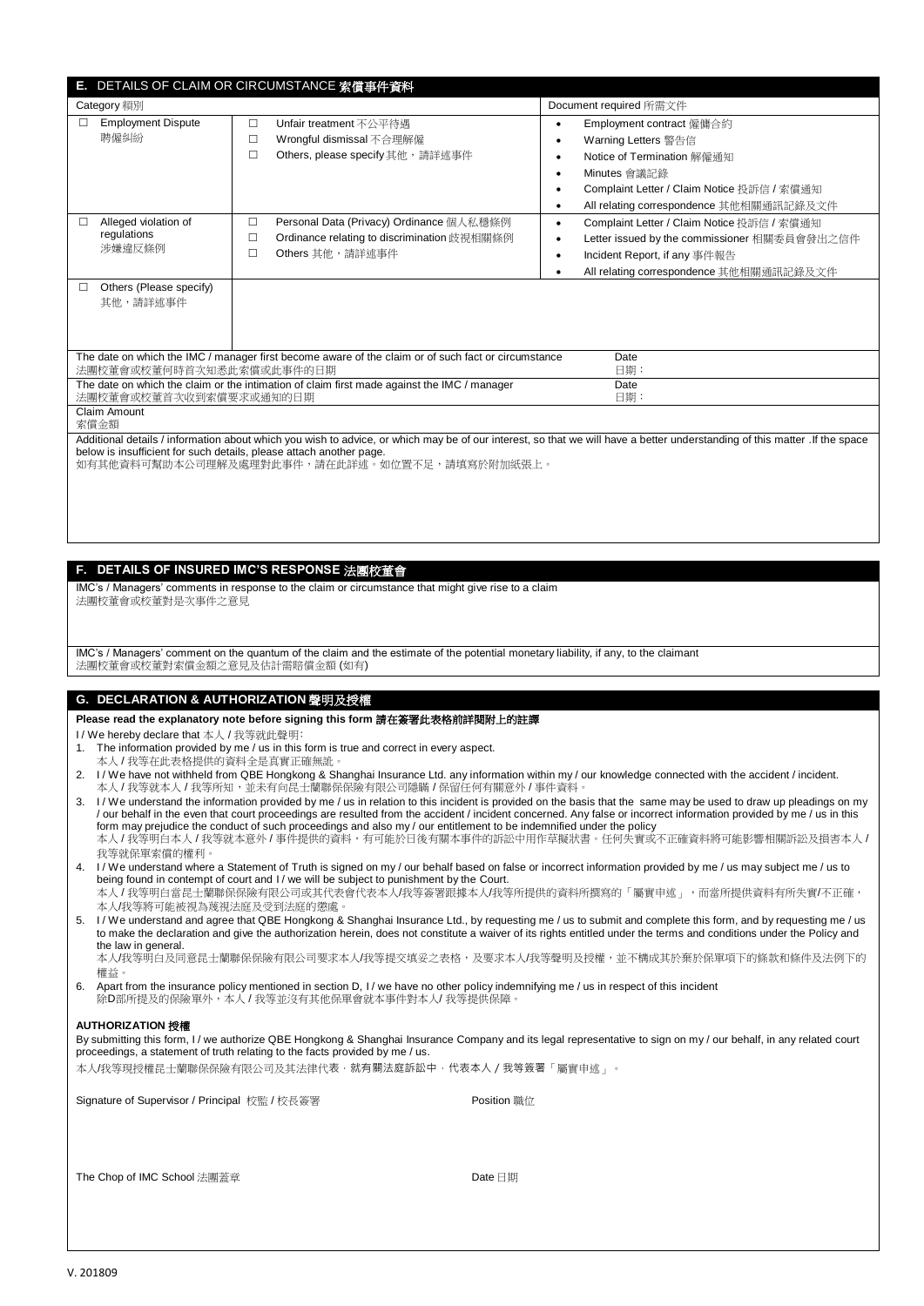|                                                                                                                                                                                                                                                                                            | E. DETAILS OF CLAIM OR CIRCUMSTANCE 索償事件資料                                                                                          |                                                                                                                                                                             |  |  |
|--------------------------------------------------------------------------------------------------------------------------------------------------------------------------------------------------------------------------------------------------------------------------------------------|-------------------------------------------------------------------------------------------------------------------------------------|-----------------------------------------------------------------------------------------------------------------------------------------------------------------------------|--|--|
| Category 頪別                                                                                                                                                                                                                                                                                |                                                                                                                                     | Document required 所需文件                                                                                                                                                      |  |  |
| <b>Employment Dispute</b><br>$\Box$                                                                                                                                                                                                                                                        | Unfair treatment 不公平待遇<br>□                                                                                                         | Employment contract 僱傭合約<br>$\bullet$                                                                                                                                       |  |  |
| 聘僱糾紛                                                                                                                                                                                                                                                                                       | $\Box$<br>Wrongful dismissal 不合理解僱                                                                                                  | Warning Letters 警告信<br>٠                                                                                                                                                    |  |  |
|                                                                                                                                                                                                                                                                                            | $\Box$<br>Others, please specify 其他, 請詳述事件                                                                                          | Notice of Termination 解僱通知                                                                                                                                                  |  |  |
|                                                                                                                                                                                                                                                                                            |                                                                                                                                     | Minutes 會議記錄<br>$\bullet$                                                                                                                                                   |  |  |
|                                                                                                                                                                                                                                                                                            |                                                                                                                                     | Complaint Letter / Claim Notice 投訴信 / 索償通知<br>$\bullet$                                                                                                                     |  |  |
|                                                                                                                                                                                                                                                                                            |                                                                                                                                     | All relating correspondence 其他相關通訊記錄及文件<br>٠                                                                                                                                |  |  |
| Alleged violation of<br>□                                                                                                                                                                                                                                                                  | Personal Data (Privacy) Ordinance 個人私穩條例<br>$\Box$                                                                                  | Complaint Letter / Claim Notice 投訴信 / 索償通知<br>$\bullet$                                                                                                                     |  |  |
| regulations<br>涉嫌違反條例                                                                                                                                                                                                                                                                      | $\Box$<br>Ordinance relating to discrimination 歧視相關條例                                                                               | Letter issued by the commissioner 相關委員會發出之信件<br>$\bullet$                                                                                                                   |  |  |
|                                                                                                                                                                                                                                                                                            | $\Box$<br>Others 其他, 請詳述事件                                                                                                          | Incident Report, if any 事件報告<br>$\bullet$                                                                                                                                   |  |  |
|                                                                                                                                                                                                                                                                                            |                                                                                                                                     | All relating correspondence 其他相關通訊記錄及文件                                                                                                                                     |  |  |
| Others (Please specify)<br>$\Box$                                                                                                                                                                                                                                                          |                                                                                                                                     |                                                                                                                                                                             |  |  |
| 其他,請詳述事件                                                                                                                                                                                                                                                                                   |                                                                                                                                     |                                                                                                                                                                             |  |  |
|                                                                                                                                                                                                                                                                                            |                                                                                                                                     |                                                                                                                                                                             |  |  |
|                                                                                                                                                                                                                                                                                            |                                                                                                                                     |                                                                                                                                                                             |  |  |
|                                                                                                                                                                                                                                                                                            | The date on which the IMC / manager first become aware of the claim or of such fact or circumstance                                 | Date                                                                                                                                                                        |  |  |
| 法團校董會或校董何時首次知悉此索償或此事件的日期                                                                                                                                                                                                                                                                   |                                                                                                                                     | 日期:                                                                                                                                                                         |  |  |
| 法團校董會或校董首次收到索償要求或通知的日期                                                                                                                                                                                                                                                                     | The date on which the claim or the intimation of claim first made against the IMC / manager                                         | Date<br>日期:                                                                                                                                                                 |  |  |
| Claim Amount                                                                                                                                                                                                                                                                               |                                                                                                                                     |                                                                                                                                                                             |  |  |
| 索償金額                                                                                                                                                                                                                                                                                       |                                                                                                                                     |                                                                                                                                                                             |  |  |
|                                                                                                                                                                                                                                                                                            |                                                                                                                                     | Additional details / information about which you wish to advice, or which may be of our interest, so that we will have a better understanding of this matter . If the space |  |  |
|                                                                                                                                                                                                                                                                                            | below is insufficient for such details, please attach another page.                                                                 |                                                                                                                                                                             |  |  |
|                                                                                                                                                                                                                                                                                            | 如有其他資料可幫助本公司理解及處理對此事件,請在此詳述。如位置不足,請填寫於附加紙張上。                                                                                        |                                                                                                                                                                             |  |  |
|                                                                                                                                                                                                                                                                                            |                                                                                                                                     |                                                                                                                                                                             |  |  |
|                                                                                                                                                                                                                                                                                            |                                                                                                                                     |                                                                                                                                                                             |  |  |
|                                                                                                                                                                                                                                                                                            |                                                                                                                                     |                                                                                                                                                                             |  |  |
|                                                                                                                                                                                                                                                                                            |                                                                                                                                     |                                                                                                                                                                             |  |  |
|                                                                                                                                                                                                                                                                                            |                                                                                                                                     |                                                                                                                                                                             |  |  |
|                                                                                                                                                                                                                                                                                            | F. DETAILS OF INSURED IMC'S RESPONSE 法團校董會                                                                                          |                                                                                                                                                                             |  |  |
|                                                                                                                                                                                                                                                                                            | IMC's / Managers' comments in response to the claim or circumstance that might give rise to a claim                                 |                                                                                                                                                                             |  |  |
| 法團校董會或校董對是次事件之意見                                                                                                                                                                                                                                                                           |                                                                                                                                     |                                                                                                                                                                             |  |  |
|                                                                                                                                                                                                                                                                                            |                                                                                                                                     |                                                                                                                                                                             |  |  |
|                                                                                                                                                                                                                                                                                            |                                                                                                                                     |                                                                                                                                                                             |  |  |
|                                                                                                                                                                                                                                                                                            | IMC's / Managers' comment on the quantum of the claim and the estimate of the potential monetary liability, if any, to the claimant |                                                                                                                                                                             |  |  |
| 法團校董會或校董對索償金額之意見及估計需賠償金額 (如有)                                                                                                                                                                                                                                                              |                                                                                                                                     |                                                                                                                                                                             |  |  |
|                                                                                                                                                                                                                                                                                            |                                                                                                                                     |                                                                                                                                                                             |  |  |
| G. DECLARATION & AUTHORIZATION 聲明及授權                                                                                                                                                                                                                                                       |                                                                                                                                     |                                                                                                                                                                             |  |  |
|                                                                                                                                                                                                                                                                                            | Please read the explanatory note before signing this form 請在簽署此表格前詳閱附上的註譯                                                           |                                                                                                                                                                             |  |  |
| I/We hereby declare that 本人 / 我等就此聲明:                                                                                                                                                                                                                                                      |                                                                                                                                     |                                                                                                                                                                             |  |  |
| 1. The information provided by me / us in this form is true and correct in every aspect.                                                                                                                                                                                                   |                                                                                                                                     |                                                                                                                                                                             |  |  |
| 本人/我等在此表格提供的資料全是真實正確無訛。                                                                                                                                                                                                                                                                    |                                                                                                                                     |                                                                                                                                                                             |  |  |
|                                                                                                                                                                                                                                                                                            |                                                                                                                                     | 2. I/We have not withheld from QBE Hongkong & Shanghai Insurance Ltd. any information within my / our knowledge connected with the accident / incident.                     |  |  |
|                                                                                                                                                                                                                                                                                            | 本人 / 我等就本人 / 我等所知,並未有向昆士蘭聯保保險有限公司隱瞞 / 保留任何有關意外 / 事件資料。                                                                              |                                                                                                                                                                             |  |  |
| 3. I/We understand the information provided by me / us in relation to this incident is provided on the basis that the same may be used to draw up pleadings on my                                                                                                                          |                                                                                                                                     |                                                                                                                                                                             |  |  |
| / our behalf in the even that court proceedings are resulted from the accident / incident concerned. Any false or incorrect information provided by me / us in this<br>form may prejudice the conduct of such proceedings and also my / our entitlement to be indemnified under the policy |                                                                                                                                     |                                                                                                                                                                             |  |  |
| 本人 / 我等明白本人 / 我等就本意外 / 事件提供的資料,有可能於日後有關本事件的訴訟中用作草擬狀書。任何失實或不正確資料將可能影響相關訴訟及損害本人 /                                                                                                                                                                                                            |                                                                                                                                     |                                                                                                                                                                             |  |  |
| 我等就保單索償的權利。                                                                                                                                                                                                                                                                                |                                                                                                                                     |                                                                                                                                                                             |  |  |
| 4. I/We understand where a Statement of Truth is signed on my / our behalf based on false or incorrect information provided by me / us may subject me / us to                                                                                                                              |                                                                                                                                     |                                                                                                                                                                             |  |  |
| being found in contempt of court and I / we will be subject to punishment by the Court.                                                                                                                                                                                                    |                                                                                                                                     |                                                                                                                                                                             |  |  |

being found in contempt of court and I / we will be subject to punishment by the Court.<br>本人 / 我等明白當昆士蘭聯保保險有限公司或其代表會代表本人/我等簽署跟據本人/我等所提供的資料所撰寫的「屬實申述 」,而當所提供資料有所失實/不正確, 本人/我等將可能被視為蔑視法庭及受到法庭的懲處。

5. I / We understand and agree that QBE Hongkong & Shanghai Insurance Ltd., by requesting me / us to submit and complete this form, and by requesting me / us to make the declaration and give the authorization herein, does not constitute a waiver of its rights entitled under the terms and conditions under the Policy and the law in general.

\*\*...<br>本...人/我等明白及同意昆士蘭聯保保險有限公司要求本...人/我等提交填妥之表格,及要求本...人/我等聲明及授權,並不構成其於棄於保單項下的條款和條件及法例下的 權益。

6. Apart from the insurance policy mentioned in section D, I / we have no other policy indemnifying me / us in respect of this incident<br>除D部所提及的保險單外,本人 / 我等並沒有其他保單會就本事件對本人/ 我等提供保障。

### **AUTHORIZATION** 授權

By submitting this form, I / we authorize QBE Hongkong & Shanghai Insurance Company and its legal representative to sign on my / our behalf, in any related court proceedings, a statement of truth relating to the facts provided by me / us.

本人/我等現授權昆士蘭聯保保險有限公司及其法律代表,就有關法庭訴訟中,代表本人/我等簽署「屬實申述」。

Signature of Supervisor / Principal 校監 / 校長簽署 <br>
Position 職位

The Chop of IMC School 法團蓋章 Date 日期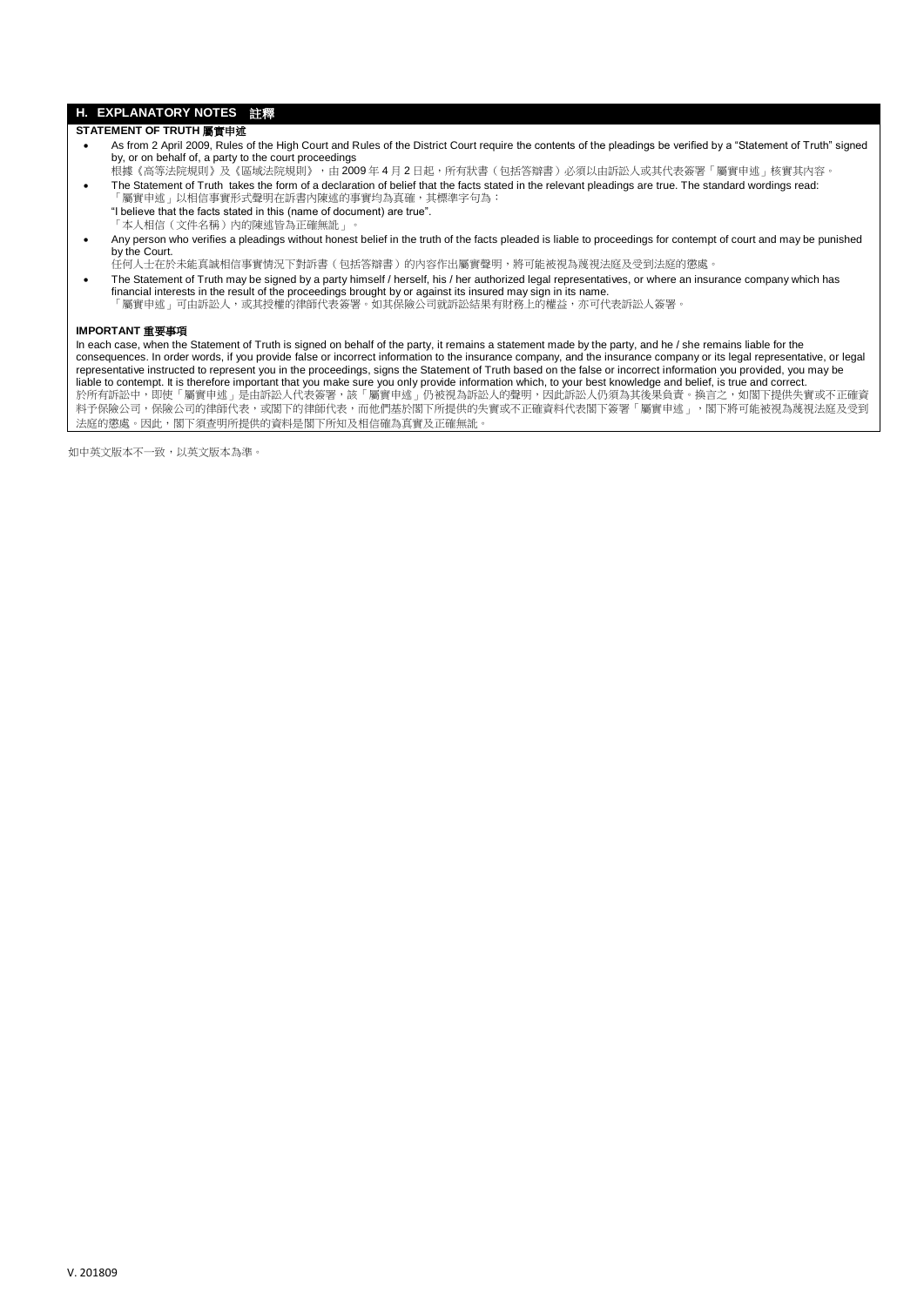## **H. EXPLANATORY NOTES** 註釋

## **STATEMENT OF TRUTH** 屬實申述

- As from 2 April 2009, Rules of the High Court and Rules of the District Court require the contents of the pleadings be verified by a "Statement of Truth" signed by, or on behalf of, a party to the court proceedings
- 根據《高等法院規則》及《區域法院規則》,由 2009 年 4 月 2 日起,所有狀書(包括答辯書)必須以由訴訟人或其代表簽署「屬實申述」核實其內容。
- The Statement of Truth takes the form of a declaration of belief that the facts stated in the relevant pleadings are true. The standard wordings read:<br>「屬實申述」以相信事實形式聲明在訴書内陳述的事實均為真確,其標準字句為: "I believe that the facts stated in this (name of document) are true".
	- 「本人相信(文件名稱)內的陳述皆為正確無訛」。
- Any person who verifies a pleadings without honest belief in the truth of the facts pleaded is liable to proceedings for contempt of court and may be punished by the Court.
- 任何人士在於未能真誠相信事實情況下對訴書(包括答辯書)的內容作出屬實聲明,將可能被視為蔑視法庭及受到法庭的懲處。
- The Statement of Truth may be signed by a party himself / herself, his / her authorized legal representatives, or where an insurance company which has financial interests in the result of the proceedings brought by or against its insured may sign in its name. 「屬實申述」可由訴訟人,或其授權的律師代表簽署。如其保險公司就訴訟結果有財務上的權益,亦可代表訴訟人簽署。

### **IMPORTANT** 重要事項

In each case, when the Statement of Truth is signed on behalf of the party, it remains a statement made by the party, and he / she remains liable for the consequences. In order words, if you provide false or incorrect information to the insurance company, and the insurance company or its legal representative, or legal representative instructed to represent you in the proceedings, signs the Statement of Truth based on the false or incorrect information you provided, you may be liable to contempt. It is therefore important that you make sure you only provide information which, to your best knowledge and belief, is true and correct. 於所有訴訟中,即使「屬實申述」是由訴訟人代表簽署,該「屬實申述」仍被視為訴訟人的聲明,因此訴訟人仍須為其後果負責。換言之,如閣下提供失實或不正確資 料予保險公司,保險公司的律師代表,可他們基於閣下所提供的失實或不正確資料代表閣下簽署「屬實申述」,閣下將可能被視為蔑視法庭及受到 法庭的懲處。因此,閣下須查明所提供的資料是閣下所知及相信確為真實及正確無訛。

如中英文版本不一致,以英文版本為準。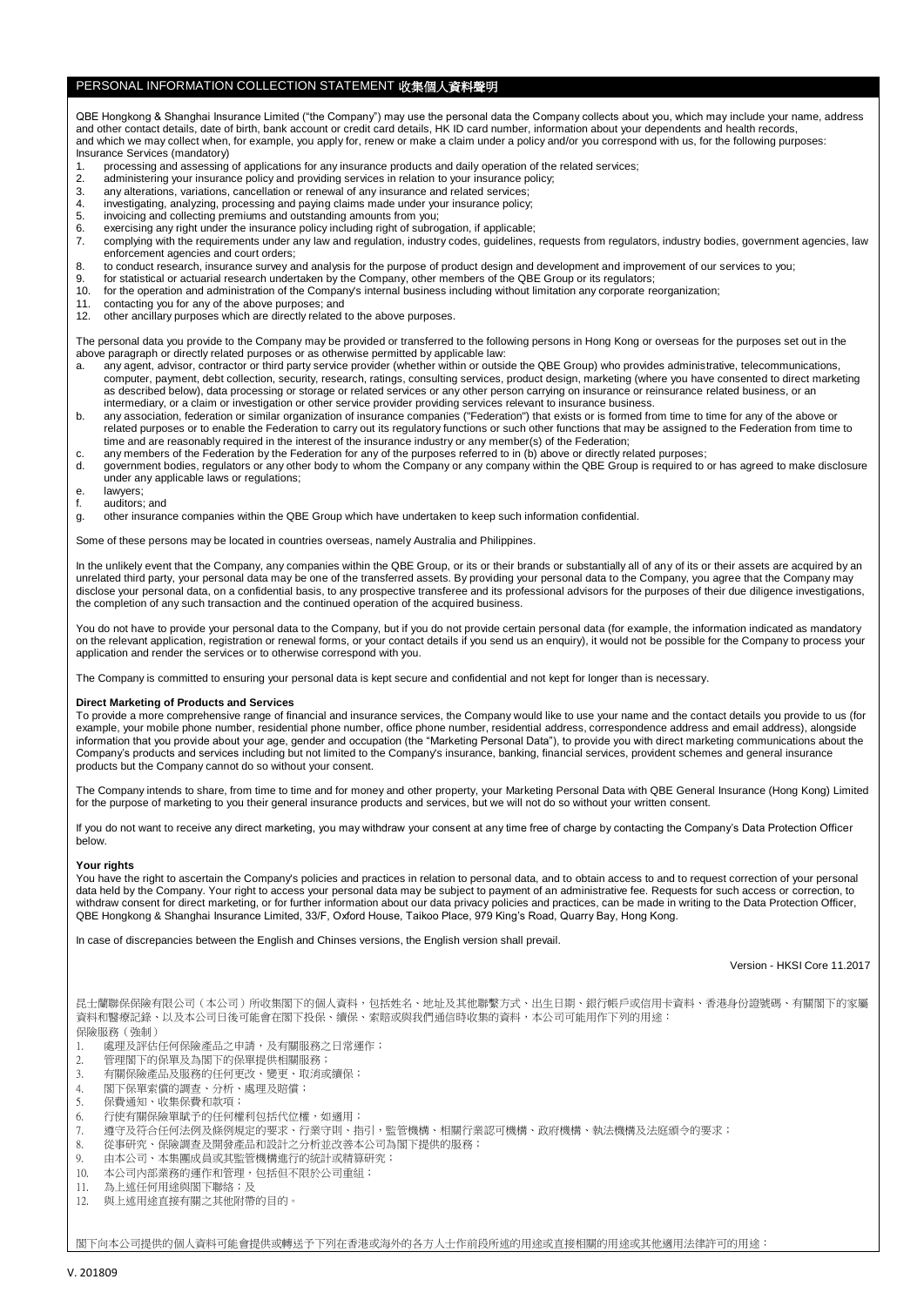## PERSONAL INFORMATION COLLECTION STATEMENT 收集個人資料

QBE Hongkong & Shanghai Insurance Limited ("the Company") may use the personal data the Company collects about you, which may include your name, address<br>and other contact details, date of birth, bank account or credit card and which we may collect when, for example, you apply for, renew or make a claim under a policy and/or you correspond with us, for the following purposes: Insurance Services (mandatory)

- 1. processing and assessing of applications for any insurance products and daily operation of the related services;<br>2. administering your insurance policy and providing services in relation to your insurance policy;
- administering your insurance policy and providing services in relation to your insurance policy;
- 3. any alterations, variations, cancellation or renewal of any insurance and related services;<br>4. investigating analyzing processing and paying claims made under your insurance policy
- 4. investigating, analyzing, processing and paying claims made under your insurance policy;<br>5. invoicing and collecting premiums and outstanding amounts from you:
- 5. invoicing and collecting premiums and outstanding amounts from you;<br>6. exercising any right under the insurance policy including right of subroc exercising any right under the insurance policy including right of subrogation, if applicable;
- 7. complying with the requirements under any law and regulation, industry codes, guidelines, requests from regulators, industry bodies, government agencies, law enforcement agencies and court orders;
- 8. to conduct research, insurance survey and analysis for the purpose of product design and development and improvement of our services to you;<br>8. for statistical or actuarial research undertaken by the Company, other memb
- for statistical or actuarial research undertaken by the Company, other members of the QBE Group or its regulators;
- 10. for the operation and administration of the Company's internal business including without limitation any corporate reorganization;
- 11. contacting you for any of the above purposes; and 12. other ancillary purposes which are directly related to
- other ancillary purposes which are directly related to the above purposes.

The personal data you provide to the Company may be provided or transferred to the following persons in Hong Kong or overseas for the purposes set out in the above paragraph or directly related purposes or as otherwise permitted by applicable law:

- a. any agent, advisor, contractor or third party service provider (whether within or outside the QBE Group) who provides administrative, telecommunications, computer, payment, debt collection, security, research, ratings, consulting services, product design, marketing (where you have consented to direct marketing as described below), data processing or storage or related services or any other person carrying on insurance or reinsurance related business, or an intermediary, or a claim or investigation or other service provider providing services relevant to insurance business.
- b. any association, federation or similar organization of insurance companies ("Federation") that exists or is formed from time to time for any of the above or related purposes or to enable the Federation to carry out its regulatory functions or such other functions that may be assigned to the Federation from time to time and are reasonably required in the interest of the insurance industry or any member(s) of the Federation;
- c. any members of the Federation by the Federation for any of the purposes referred to in (b) above or directly related purposes;<br>d. covernment bodies, requiators or any other body to whom the Company or any company within
- d. government bodies, regulators or any other body to whom the Company or any company within the QBE Group is required to or has agreed to make disclosure under any applicable laws or regulations;
- e. lawyers;<br>f auditors:
- auditors; and
- g. other insurance companies within the QBE Group which have undertaken to keep such information confidential.

Some of these persons may be located in countries overseas, namely Australia and Philippines.

In the unlikely event that the Company, any companies within the QBE Group, or its or their brands or substantially all of any of its or their assets are acquired by an unrelated third party, your personal data may be one of the transferred assets. By providing your personal data to the Company, you agree that the Company may disclose your personal data, on a confidential basis, to any prospective transferee and its professional advisors for the purposes of their due diligence investigations, the completion of any such transaction and the continued operation of the acquired business.

You do not have to provide your personal data to the Company, but if you do not provide certain personal data (for example, the information indicated as mandatory<br>on the relevant application, registration or renewal forms, application and render the services or to otherwise correspond with you.

The Company is committed to ensuring your personal data is kept secure and confidential and not kept for longer than is necessary.

#### **Direct Marketing of Products and Services**

To provide a more comprehensive range of financial and insurance services, the Company would like to use your name and the contact details you provide to us (for<br>example, your mobile phone number, residential phone number, information that you provide about your age, gender and occupation (the "Marketing Personal Data"), to provide you with direct marketing communications about the Company's products and services including but not limited to the Company's insurance, banking, financial services, provident schemes and general insurance products but the Company cannot do so without your consent.

The Company intends to share, from time to time and for money and other property, your Marketing Personal Data with QBE General Insurance (Hong Kong) Limited for the purpose of marketing to you their general insurance products and services, but we will not do so without your written consent.

If you do not want to receive any direct marketing, you may withdraw your consent at any time free of charge by contacting the Company's Data Protection Officer below.

#### **Your rights**

You have the right to ascertain the Company's policies and practices in relation to personal data, and to obtain access to and to request correction of your personal data held by the Company. Your right to access your personal data may be subject to payment of an administrative fee. Requests for such access or correction, to withdraw consent for direct marketing, or for further information about our data privacy policies and practices, can be made in writing to the Data Protection Officer,<br>QBE Hongkong & Shanghai Insurance Limited, 33/F, Oxfor

In case of discrepancies between the English and Chinses versions, the English version shall prevail.

Version - HKSI Core 11.2017

昆士蘭聯保保險有限公司(本公司)所收集閣下的個人資料,包括姓名、地址及其他聯繫方式、出生日期、銀行帳戶或信用卡資料、香港身份證號碼、有關閣下的家屬 資料和醫療記錄、以及本公司日後可能會在閣下投保、續保、索賠或與我們通信時收集的資料,本公司可能用作下列的用途: 保險服務(強制)

- 1. 處理及評估任何保險產品之申請,及有關服務之日常運作;
- 2. 管理閣下的保單及為閣下的保單提供相關服務;
- 3. 有關保險產品及服務的任何更改、變更、取消或續保;
- 4. 閣下保單索償的調查、分析、處理及賠償;
- 5. 保費通知、收集保費和款項;
- 6. 行使有關保險單賦予的任何權利包括代位權,如適用;
- 7. 遵守及符合任何法例及條例規定的要求、行業守則、指引,監管機構、相關行業認可機構、政府機構、執法機構及法庭頒令的要求;
- 8. 從事研究、保險調查及開發產品和設計之分析並改善本公司為閣下提供的服務;
- 9. 由本公司、本集團成員或其監管機構進行的統計或精算研究;
- 10. 本公司內部業務的運作和管理,包括但不限於公司重組;
- 11. 為上述任何用途與閣下聯絡;及
- 12. 與上述用途直接有關之其他附帶的目的。

閣下向本公司提供的個人資料可能會提供或轉送予下列在香港或海外的各方人士作前段所述的用途或直接相關的用途或其他適用法律許可的用途: